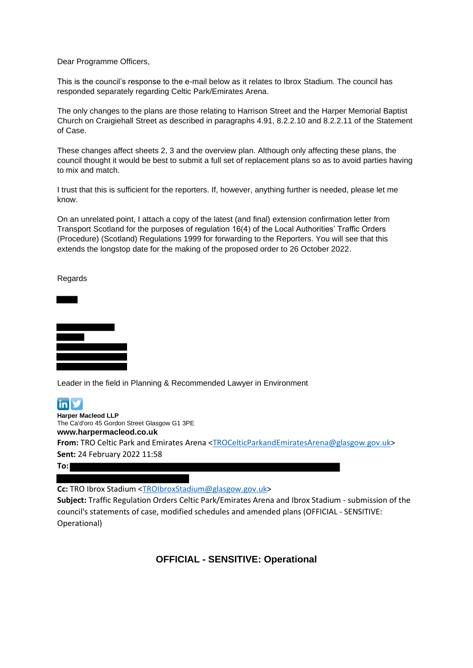Dear Programme Officers,

This is the council's response to the e-mail below as it relates to Ibrox Stadium. The council has responded separately regarding Celtic Park/Emirates Arena.

The only changes to the plans are those relating to Harrison Street and the Harper Memorial Baptist Church on Craigiehall Street as described in paragraphs 4.91, 8.2.2.10 and 8.2.2.11 of the Statement of Case.

These changes affect sheets 2, 3 and the overview plan. Although only affecting these plans, the council thought it would be best to submit a full set of replacement plans so as to avoid parties having to mix and match.

I trust that this is sufficient for the reporters. If, however, anything further is needed, please let me know.

On an unrelated point, I attach a copy of the latest (and final) extension confirmation letter from Transport Scotland for the purposes of regulation 16(4) of the Local Authorities' Traffic Orders (Procedure) (Scotland) Regulations 1999 for forwarding to the Reporters. You will see that this extends the longstop date for the making of the proposed order to 26 October 2022.

Regards



Leader in the field in Planning & Recommended Lawyer in Environment



# **To:**

**Cc:** TRO Ibrox Stadium [<TROIbroxStadium@glasgow.gov.uk>](mailto:TROIbroxStadium@glasgow.gov.uk)

**Subject:** Traffic Regulation Orders Celtic Park/Emirates Arena and Ibrox Stadium - submission of the council's statements of case, modified schedules and amended plans (OFFICIAL - SENSITIVE: Operational)

# **OFFICIAL - SENSITIVE: Operational**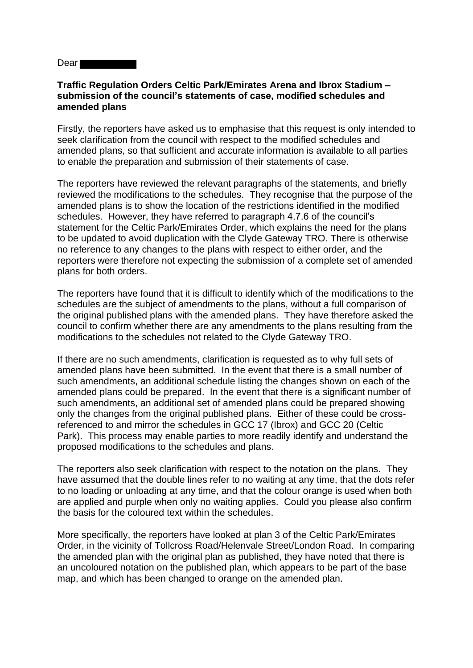Dear **Dear** 

### **Traffic Regulation Orders Celtic Park/Emirates Arena and Ibrox Stadium – submission of the council's statements of case, modified schedules and amended plans**

Firstly, the reporters have asked us to emphasise that this request is only intended to seek clarification from the council with respect to the modified schedules and amended plans, so that sufficient and accurate information is available to all parties to enable the preparation and submission of their statements of case.

The reporters have reviewed the relevant paragraphs of the statements, and briefly reviewed the modifications to the schedules. They recognise that the purpose of the amended plans is to show the location of the restrictions identified in the modified schedules. However, they have referred to paragraph 4.7.6 of the council's statement for the Celtic Park/Emirates Order, which explains the need for the plans to be updated to avoid duplication with the Clyde Gateway TRO. There is otherwise no reference to any changes to the plans with respect to either order, and the reporters were therefore not expecting the submission of a complete set of amended plans for both orders.

The reporters have found that it is difficult to identify which of the modifications to the schedules are the subject of amendments to the plans, without a full comparison of the original published plans with the amended plans. They have therefore asked the council to confirm whether there are any amendments to the plans resulting from the modifications to the schedules not related to the Clyde Gateway TRO.

If there are no such amendments, clarification is requested as to why full sets of amended plans have been submitted. In the event that there is a small number of such amendments, an additional schedule listing the changes shown on each of the amended plans could be prepared. In the event that there is a significant number of such amendments, an additional set of amended plans could be prepared showing only the changes from the original published plans. Either of these could be crossreferenced to and mirror the schedules in GCC 17 (Ibrox) and GCC 20 (Celtic Park). This process may enable parties to more readily identify and understand the proposed modifications to the schedules and plans.

The reporters also seek clarification with respect to the notation on the plans. They have assumed that the double lines refer to no waiting at any time, that the dots refer to no loading or unloading at any time, and that the colour orange is used when both are applied and purple when only no waiting applies. Could you please also confirm the basis for the coloured text within the schedules.

More specifically, the reporters have looked at plan 3 of the Celtic Park/Emirates Order, in the vicinity of Tollcross Road/Helenvale Street/London Road. In comparing the amended plan with the original plan as published, they have noted that there is an uncoloured notation on the published plan, which appears to be part of the base map, and which has been changed to orange on the amended plan.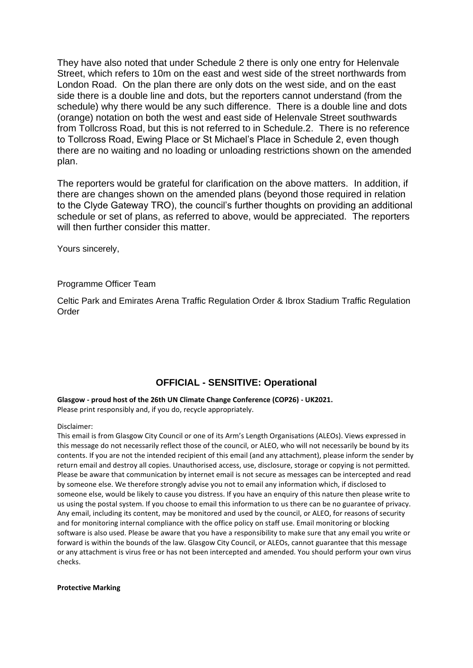They have also noted that under Schedule 2 there is only one entry for Helenvale Street, which refers to 10m on the east and west side of the street northwards from London Road. On the plan there are only dots on the west side, and on the east side there is a double line and dots, but the reporters cannot understand (from the schedule) why there would be any such difference. There is a double line and dots (orange) notation on both the west and east side of Helenvale Street southwards from Tollcross Road, but this is not referred to in Schedule.2. There is no reference to Tollcross Road, Ewing Place or St Michael's Place in Schedule 2, even though there are no waiting and no loading or unloading restrictions shown on the amended plan.

The reporters would be grateful for clarification on the above matters. In addition, if there are changes shown on the amended plans (beyond those required in relation to the Clyde Gateway TRO), the council's further thoughts on providing an additional schedule or set of plans, as referred to above, would be appreciated. The reporters will then further consider this matter.

Yours sincerely,

### Programme Officer Team

Celtic Park and Emirates Arena Traffic Regulation Order & Ibrox Stadium Traffic Regulation Order

# **OFFICIAL - SENSITIVE: Operational**

**Glasgow - proud host of the 26th UN Climate Change Conference (COP26) - UK2021.** Please print responsibly and, if you do, recycle appropriately.

#### Disclaimer:

This email is from Glasgow City Council or one of its Arm's Length Organisations (ALEOs). Views expressed in this message do not necessarily reflect those of the council, or ALEO, who will not necessarily be bound by its contents. If you are not the intended recipient of this email (and any attachment), please inform the sender by return email and destroy all copies. Unauthorised access, use, disclosure, storage or copying is not permitted. Please be aware that communication by internet email is not secure as messages can be intercepted and read by someone else. We therefore strongly advise you not to email any information which, if disclosed to someone else, would be likely to cause you distress. If you have an enquiry of this nature then please write to us using the postal system. If you choose to email this information to us there can be no guarantee of privacy. Any email, including its content, may be monitored and used by the council, or ALEO, for reasons of security and for monitoring internal compliance with the office policy on staff use. Email monitoring or blocking software is also used. Please be aware that you have a responsibility to make sure that any email you write or forward is within the bounds of the law. Glasgow City Council, or ALEOs, cannot guarantee that this message or any attachment is virus free or has not been intercepted and amended. You should perform your own virus checks.

**Protective Marking**